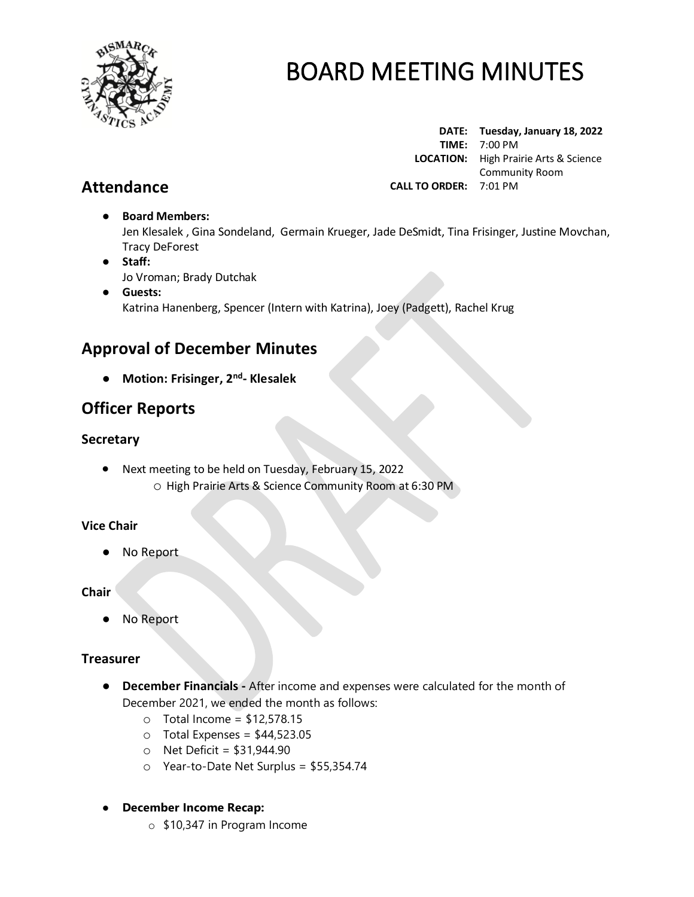

**DATE: Tuesday, January 18, 2022 TIME:** 7:00 PM  **LOCATION:** High Prairie Arts & Science Community Room **CALL TO ORDER:** 7:01 PM

# **Attendance**

# ● **Board Members:**

Jen Klesalek , Gina Sondeland, Germain Krueger, Jade DeSmidt, Tina Frisinger, Justine Movchan, Tracy DeForest

- **Staff:**  Jo Vroman; Brady Dutchak
- **Guests:** Katrina Hanenberg, Spencer (Intern with Katrina), Joey (Padgett), Rachel Krug

# **Approval of December Minutes**

● **Motion: Frisinger, 2 nd - Klesalek**

# **Officer Reports**

### **Secretary**

• Next meeting to be held on Tuesday, February 15, 2022 o High Prairie Arts & Science Community Room at 6:30 PM

### **Vice Chair**

No Report

### **Chair**

● No Report

### **Treasurer**

- **December Financials -** After income and expenses were calculated for the month of December 2021, we ended the month as follows:
	- $\circ$  Total Income = \$12,578.15
	- $\circ$  Total Expenses = \$44,523.05
	- $\circ$  Net Deficit = \$31,944.90
	- o Year-to-Date Net Surplus = \$55,354.74

### ● **December Income Recap:**

o \$10,347 in Program Income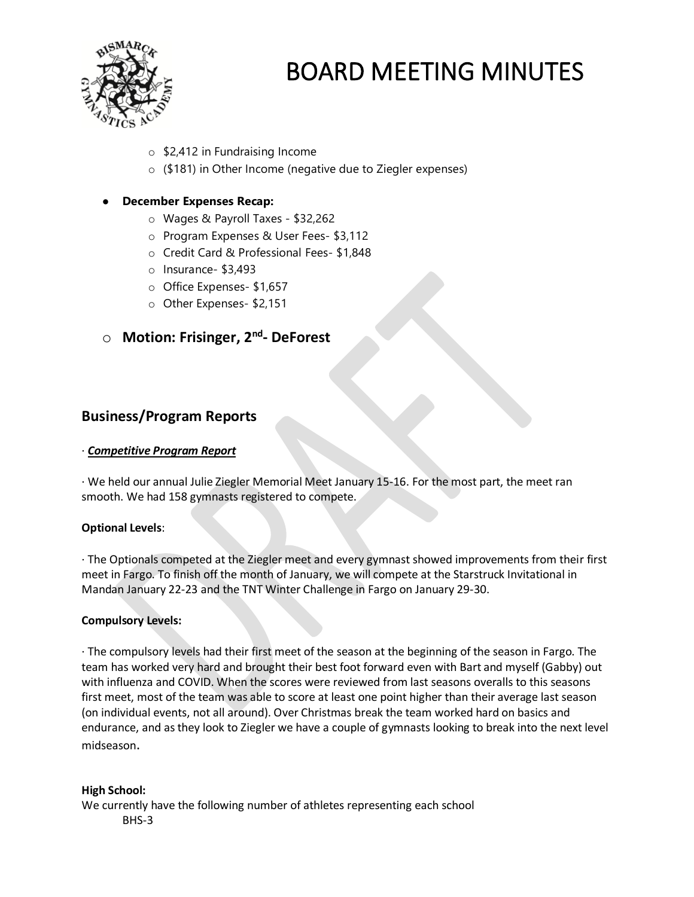

- o \$2,412 in Fundraising Income
- o (\$181) in Other Income (negative due to Ziegler expenses)

### **December Expenses Recap:**

- o Wages & Payroll Taxes \$32,262
- o Program Expenses & User Fees- \$3,112
- o Credit Card & Professional Fees- \$1,848
- o Insurance- \$3,493
- o Office Expenses- \$1,657
- o Other Expenses- \$2,151

# o **Motion: Frisinger, 2nd - DeForest**

### **Business/Program Reports**

#### · *Competitive Program Report*

· We held our annual Julie Ziegler Memorial Meet January 15-16. For the most part, the meet ran smooth. We had 158 gymnasts registered to compete.

#### **Optional Levels**:

· The Optionals competed at the Ziegler meet and every gymnast showed improvements from their first meet in Fargo. To finish off the month of January, we will compete at the Starstruck Invitational in Mandan January 22-23 and the TNT Winter Challenge in Fargo on January 29-30.

#### **Compulsory Levels:**

· The compulsory levels had their first meet of the season at the beginning of the season in Fargo. The team has worked very hard and brought their best foot forward even with Bart and myself (Gabby) out with influenza and COVID. When the scores were reviewed from last seasons overalls to this seasons first meet, most of the team was able to score at least one point higher than their average last season (on individual events, not all around). Over Christmas break the team worked hard on basics and endurance, and as they look to Ziegler we have a couple of gymnasts looking to break into the next level midseason.

#### **High School:**

We currently have the following number of athletes representing each school BHS-3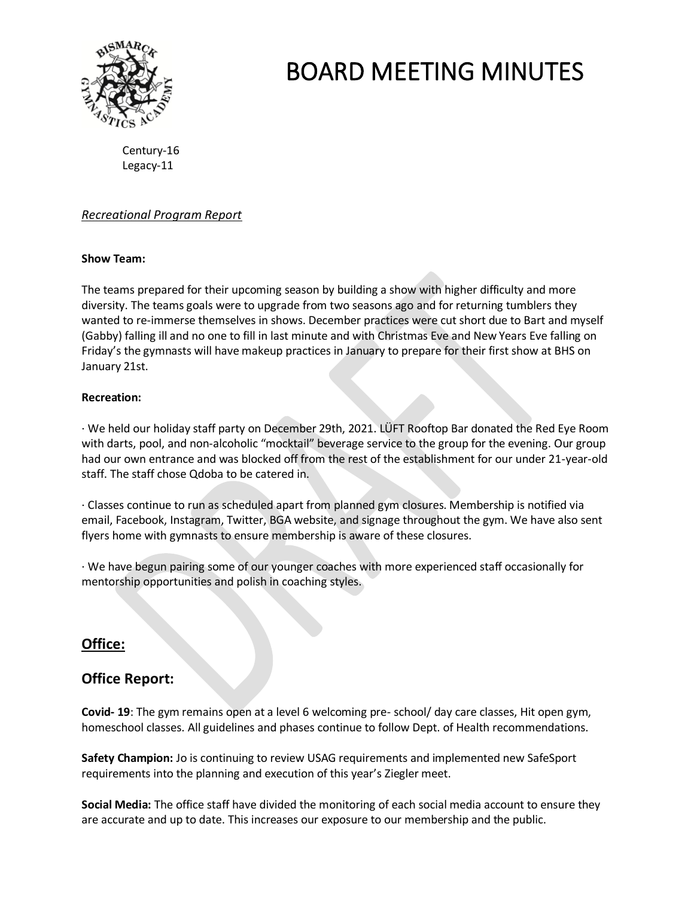

Century-16 Legacy-11

### *Recreational Program Report*

#### **Show Team:**

The teams prepared for their upcoming season by building a show with higher difficulty and more diversity. The teams goals were to upgrade from two seasons ago and for returning tumblers they wanted to re-immerse themselves in shows. December practices were cut short due to Bart and myself (Gabby) falling ill and no one to fill in last minute and with Christmas Eve and New Years Eve falling on Friday's the gymnasts will have makeup practices in January to prepare for their first show at BHS on January 21st.

#### **Recreation:**

· We held our holiday staff party on December 29th, 2021. LÜFT Rooftop Bar donated the Red Eye Room with darts, pool, and non-alcoholic "mocktail" beverage service to the group for the evening. Our group had our own entrance and was blocked off from the rest of the establishment for our under 21-year-old staff. The staff chose Qdoba to be catered in.

· Classes continue to run as scheduled apart from planned gym closures. Membership is notified via email, Facebook, Instagram, Twitter, BGA website, and signage throughout the gym. We have also sent flyers home with gymnasts to ensure membership is aware of these closures.

· We have begun pairing some of our younger coaches with more experienced staff occasionally for mentorship opportunities and polish in coaching styles.

### **Office:**

### **Office Report:**

**Covid- 19**: The gym remains open at a level 6 welcoming pre- school/ day care classes, Hit open gym, homeschool classes. All guidelines and phases continue to follow Dept. of Health recommendations.

**Safety Champion:** Jo is continuing to review USAG requirements and implemented new SafeSport requirements into the planning and execution of this year's Ziegler meet.

**Social Media:** The office staff have divided the monitoring of each social media account to ensure they are accurate and up to date. This increases our exposure to our membership and the public.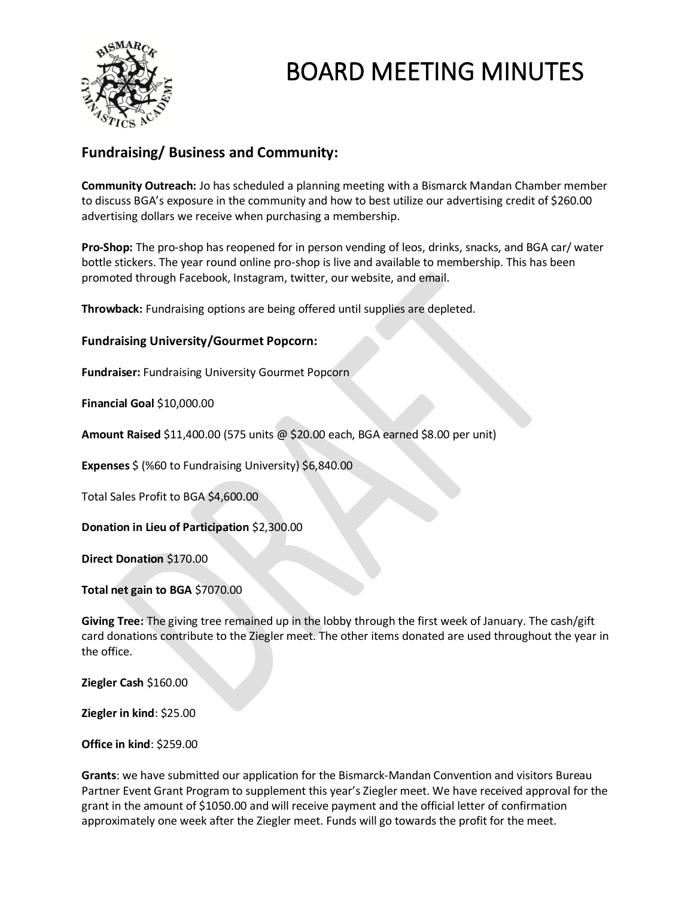

## **Fundraising/ Business and Community:**

**Community Outreach:** Jo has scheduled a planning meeting with a Bismarck Mandan Chamber member to discuss BGA's exposure in the community and how to best utilize our advertising credit of \$260.00 advertising dollars we receive when purchasing a membership.

**Pro-Shop:** The pro-shop has reopened for in person vending of leos, drinks, snacks, and BGA car/ water bottle stickers. The year round online pro-shop is live and available to membership. This has been promoted through Facebook, Instagram, twitter, our website, and email.

**Throwback:** Fundraising options are being offered until supplies are depleted.

#### **Fundraising University/Gourmet Popcorn:**

**Fundraiser:** Fundraising University Gourmet Popcorn

**Financial Goal** \$10,000.00

**Amount Raised** \$11,400.00 (575 units @ \$20.00 each, BGA earned \$8.00 per unit)

**Expenses** \$ (%60 to Fundraising University) \$6,840.00

Total Sales Profit to BGA \$4,600.00

**Donation in Lieu of Participation** \$2,300.00

**Direct Donation** \$170.00

**Total net gain to BGA** \$7070.00

**Giving Tree:** The giving tree remained up in the lobby through the first week of January. The cash/gift card donations contribute to the Ziegler meet. The other items donated are used throughout the year in the office.

**Ziegler Cash** \$160.00

**Ziegler in kind**: \$25.00

**Office in kind**: \$259.00

**Grants**: we have submitted our application for the Bismarck-Mandan Convention and visitors Bureau Partner Event Grant Program to supplement this year's Ziegler meet. We have received approval for the grant in the amount of \$1050.00 and will receive payment and the official letter of confirmation approximately one week after the Ziegler meet. Funds will go towards the profit for the meet.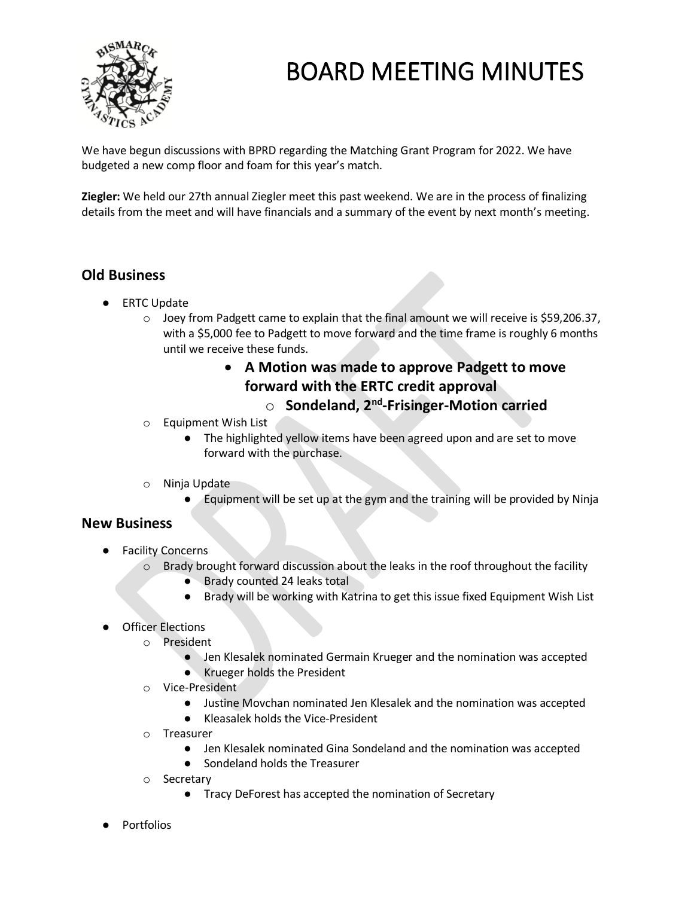

We have begun discussions with BPRD regarding the Matching Grant Program for 2022. We have budgeted a new comp floor and foam for this year's match.

**Ziegler:** We held our 27th annual Ziegler meet this past weekend. We are in the process of finalizing details from the meet and will have financials and a summary of the event by next month's meeting.

## **Old Business**

- ERTC Update
	- o Joey from Padgett came to explain that the final amount we will receive is \$59,206.37, with a \$5,000 fee to Padgett to move forward and the time frame is roughly 6 months until we receive these funds.

### • **A Motion was made to approve Padgett to move forward with the ERTC credit approval**

# o **Sondeland, 2nd -Frisinger-Motion carried**

- o Equipment Wish List
	- The highlighted yellow items have been agreed upon and are set to move forward with the purchase.
- o Ninja Update
	- Equipment will be set up at the gym and the training will be provided by Ninja

### **New Business**

- Facility Concerns
	- $\circ$  Brady brought forward discussion about the leaks in the roof throughout the facility
		- Brady counted 24 leaks total
		- Brady will be working with Katrina to get this issue fixed Equipment Wish List
- Officer Elections
	- o President
		- Jen Klesalek nominated Germain Krueger and the nomination was accepted
		- Krueger holds the President
	- o Vice-President
		- Justine Movchan nominated Jen Klesalek and the nomination was accepted
		- Kleasalek holds the Vice-President
	- o Treasurer
		- Jen Klesalek nominated Gina Sondeland and the nomination was accepted
		- Sondeland holds the Treasurer
	- o Secretary
		- Tracy DeForest has accepted the nomination of Secretary
- Portfolios